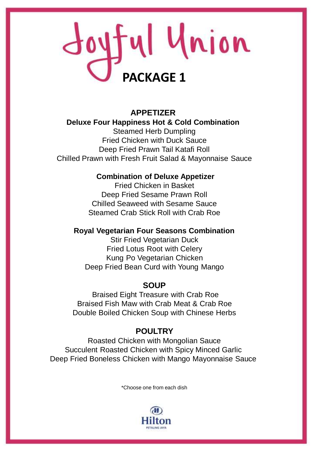# Joyful Union **PACKAGE 1**

# **APPETIZER Deluxe Four Happiness Hot & Cold Combination** Steamed Herb Dumpling Fried Chicken with Duck Sauce Deep Fried Prawn Tail Katafi Roll Chilled Prawn with Fresh Fruit Salad & Mayonnaise Sauce

# **Combination of Deluxe Appetizer**

Fried Chicken in Basket Deep Fried Sesame Prawn Roll Chilled Seaweed with Sesame Sauce Steamed Crab Stick Roll with Crab Roe

#### **Royal Vegetarian Four Seasons Combination**

Stir Fried Vegetarian Duck Fried Lotus Root with Celery Kung Po Vegetarian Chicken Deep Fried Bean Curd with Young Mango

# **SOUP**

Braised Eight Treasure with Crab Roe Braised Fish Maw with Crab Meat & Crab Roe Double Boiled Chicken Soup with Chinese Herbs

# **POULTRY**

Roasted Chicken with Mongolian Sauce Succulent Roasted Chicken with Spicy Minced Garlic Deep Fried Boneless Chicken with Mango Mayonnaise Sauce

\*Choose one from each dish